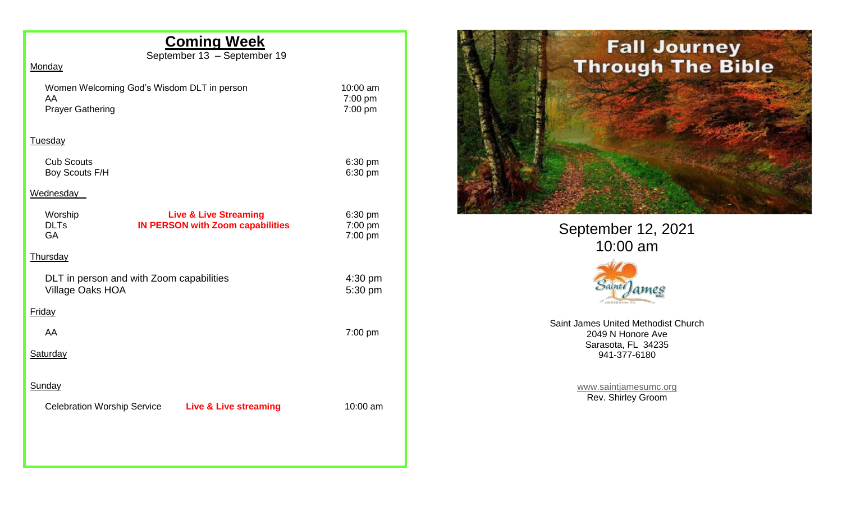# **Coming Week**

September 13 – September 19

### **Monday**

| Women Welcoming God's Wisdom DLT in person |
|--------------------------------------------|
| AA                                         |
| <b>Prayer Gathering</b>                    |

10:00 am 7:00 pm  $7:00$  pm

#### Tuesday

| <b>Cub Scouts</b> | $6:30$ pm |
|-------------------|-----------|
| Boy Scouts F/H    | 6:30 pm   |

#### **Wednesday**

| Worship<br><b>DLTs</b><br>GA                                        | <b>Live &amp; Live Streaming</b><br><b>IN PERSON with Zoom capabilities</b> | $6:30$ pm<br>$7:00$ pm<br>7:00 pm |
|---------------------------------------------------------------------|-----------------------------------------------------------------------------|-----------------------------------|
| Thursday                                                            |                                                                             |                                   |
| DLT in person and with Zoom capabilities<br><b>Village Oaks HOA</b> |                                                                             | $4:30 \text{ pm}$<br>5:30 pm      |
| <b>Friday</b>                                                       |                                                                             |                                   |
| AA                                                                  |                                                                             | $7:00$ pm                         |
| Saturday                                                            |                                                                             |                                   |
| Sunday                                                              |                                                                             |                                   |
| <b>Celebration Worship Service</b>                                  | <b>Live &amp; Live streaming</b>                                            | 10:00 am                          |
|                                                                     |                                                                             |                                   |
|                                                                     |                                                                             |                                   |



September 12, 2021 10:00 am



Saint James United Methodist Church 2049 N Honore Ave Sarasota, FL 34235 941-377-6180

> [www.saintjamesumc.org](http://www.saintjamesumc.org/) Rev. Shirley Groom